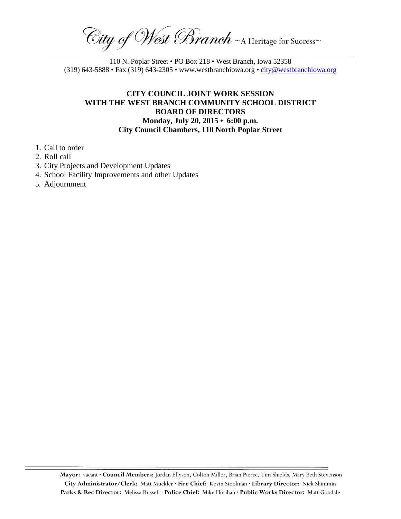$\widehat{C}$ ity of West Branch ~A Heritage for Success~ \_\_\_\_\_\_\_\_\_\_\_\_\_\_\_\_\_\_\_\_\_\_\_\_\_\_\_\_\_\_\_\_\_\_\_\_\_\_\_\_\_\_\_\_\_\_\_\_\_\_\_\_\_\_\_\_\_\_\_\_\_\_\_\_\_\_\_\_\_\_\_\_\_\_\_\_\_\_\_\_\_\_\_\_\_\_\_\_\_\_\_\_\_\_\_\_\_\_\_\_\_\_\_\_\_\_\_\_\_\_\_\_\_\_\_\_\_

110 N. Poplar Street • PO Box 218 • West Branch, Iowa 52358 (319) 643-5888 • Fax (319) 643-2305 • www.westbranchiowa.org • [city@westbranchiowa.org](mailto:city@westbranchiowa.org)

## **CITY COUNCIL JOINT WORK SESSION WITH THE WEST BRANCH COMMUNITY SCHOOL DISTRICT BOARD OF DIRECTORS Monday, July 20, 2015 • 6:00 p.m. City Council Chambers, 110 North Poplar Street**

- 1. Call to order
- 2. Roll call
- 3. City Projects and Development Updates
- 4. School Facility Improvements and other Updates
- 5. Adjournment

**Mayor:** vacant **· Council Members:** Jordan Ellyson, Colton Miller, Brian Pierce, Tim Shields, Mary Beth Stevenson **City Administrator/Clerk:** Matt Muckler **· Fire Chief:** Kevin Stoolman **· Library Director:** Nick Shimmin **Parks & Rec Director:** Melissa Russell **· Police Chief:** Mike Horihan **· Public Works Director:** Matt Goodale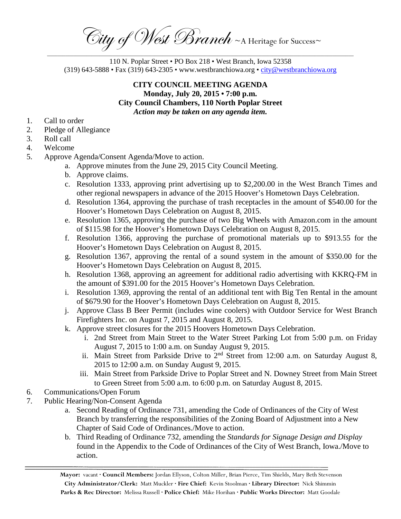$C$ ity of West Branch ~A Heritage for Success~ \_\_\_\_\_\_\_\_\_\_\_\_\_\_\_\_\_\_\_\_\_\_\_\_\_\_\_\_\_\_\_\_\_\_\_\_\_\_\_\_\_\_\_\_\_\_\_\_\_\_\_\_\_\_\_\_\_\_\_\_\_\_\_\_\_\_\_\_\_\_\_\_\_\_\_\_\_\_\_\_\_\_\_\_\_\_\_\_\_\_\_\_\_\_\_\_\_\_\_\_\_\_\_\_\_\_\_\_\_\_\_\_\_\_\_\_\_

110 N. Poplar Street • PO Box 218 • West Branch, Iowa 52358 (319) 643-5888 • Fax (319) 643-2305 • www.westbranchiowa.org • [city@westbranchiowa.org](mailto:city@westbranchiowa.org)

## **CITY COUNCIL MEETING AGENDA Monday, July 20, 2015 • 7:00 p.m. City Council Chambers, 110 North Poplar Street** *Action may be taken on any agenda item.*

- 1. Call to order
- 2. Pledge of Allegiance
- 3. Roll call
- 4. Welcome
- 5. Approve Agenda/Consent Agenda/Move to action.
	- a. Approve minutes from the June 29, 2015 City Council Meeting.
	- b. Approve claims.
	- c. Resolution 1333, approving print advertising up to \$2,200.00 in the West Branch Times and other regional newspapers in advance of the 2015 Hoover's Hometown Days Celebration.
	- d. Resolution 1364, approving the purchase of trash receptacles in the amount of \$540.00 for the Hoover's Hometown Days Celebration on August 8, 2015.
	- e. Resolution 1365, approving the purchase of two Big Wheels with Amazon.com in the amount of \$115.98 for the Hoover's Hometown Days Celebration on August 8, 2015.
	- f. Resolution 1366, approving the purchase of promotional materials up to \$913.55 for the Hoover's Hometown Days Celebration on August 8, 2015.
	- g. Resolution 1367, approving the rental of a sound system in the amount of \$350.00 for the Hoover's Hometown Days Celebration on August 8, 2015.
	- h. Resolution 1368, approving an agreement for additional radio advertising with KKRQ-FM in the amount of \$391.00 for the 2015 Hoover's Hometown Days Celebration.
	- i. Resolution 1369, approving the rental of an additional tent with Big Ten Rental in the amount of \$679.90 for the Hoover's Hometown Days Celebration on August 8, 2015.
	- j. Approve Class B Beer Permit (includes wine coolers) with Outdoor Service for West Branch Firefighters Inc. on August 7, 2015 and August 8, 2015.
	- k. Approve street closures for the 2015 Hoovers Hometown Days Celebration.
		- i. 2nd Street from Main Street to the Water Street Parking Lot from 5:00 p.m. on Friday August 7, 2015 to 1:00 a.m. on Sunday August 9, 2015.
		- ii. Main Street from Parkside Drive to  $2<sup>nd</sup>$  Street from 12:00 a.m. on Saturday August 8, 2015 to 12:00 a.m. on Sunday August 9, 2015.
		- iii. Main Street from Parkside Drive to Poplar Street and N. Downey Street from Main Street to Green Street from 5:00 a.m. to 6:00 p.m. on Saturday August 8, 2015.
- 6. Communications/Open Forum
- 7. Public Hearing/Non-Consent Agenda
	- a. Second Reading of Ordinance 731, amending the Code of Ordinances of the City of West Branch by transferring the responsibilities of the Zoning Board of Adjustment into a New Chapter of Said Code of Ordinances./Move to action.
	- b. Third Reading of Ordinance 732, amending the *Standards for Signage Design and Display* found in the Appendix to the Code of Ordinances of the City of West Branch, Iowa./Move to action.

**Mayor:** vacant **· Council Members:** Jordan Ellyson, Colton Miller, Brian Pierce, Tim Shields, Mary Beth Stevenson **City Administrator/Clerk:** Matt Muckler **· Fire Chief:** Kevin Stoolman **· Library Director:** Nick Shimmin **Parks & Rec Director:** Melissa Russell **· Police Chief:** Mike Horihan **· Public Works Director:** Matt Goodale